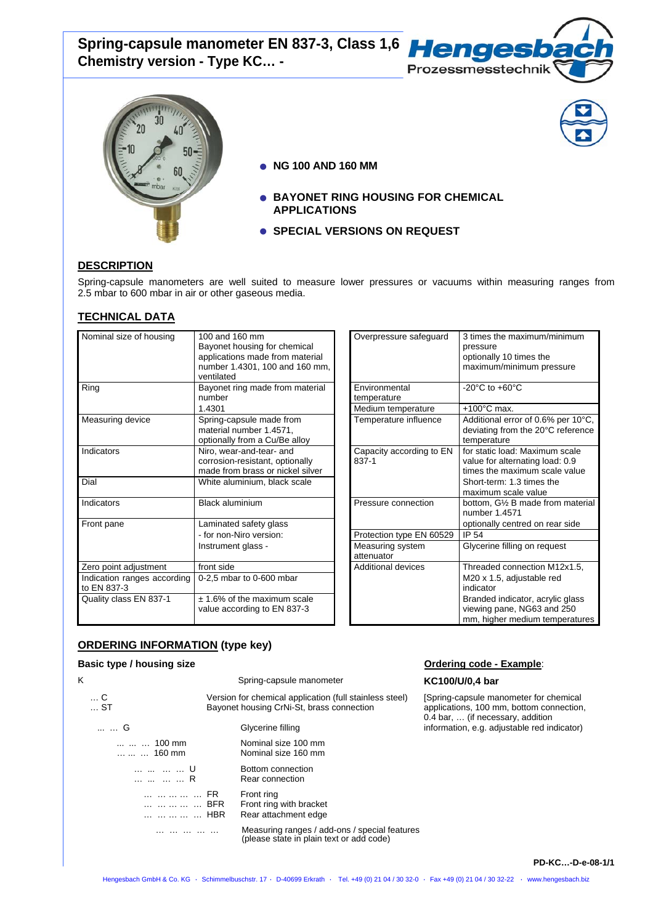Spring-capsule manometer EN 837-3, Class 1,6 **Hengesb Chemistry version - Type KC… -** 





- **NG 100 AND 160 MM**
- **BAYONET RING HOUSING FOR CHEMICAL APPLICATIONS**
- **SPECIAL VERSIONS ON REQUEST**

## **DESCRIPTION**

Spring-capsule manometers are well suited to measure lower pressures or vacuums within measuring ranges from 2.5 mbar to 600 mbar in air or other gaseous media.

# **TECHNICAL DATA**

| Nominal size of housing                    | 100 and 160 mm<br>Bayonet housing for chemical<br>applications made from material<br>number 1.4301, 100 and 160 mm,<br>ventilated | Overpressure safeguard            | 3 times the maximum/minimum<br>pressure<br>optionally 10 times the<br>maximum/minimum pressure     |
|--------------------------------------------|-----------------------------------------------------------------------------------------------------------------------------------|-----------------------------------|----------------------------------------------------------------------------------------------------|
| Ring                                       | Bayonet ring made from material<br>number                                                                                         | Environmental<br>temperature      | -20 $^{\circ}$ C to +60 $^{\circ}$ C                                                               |
|                                            | 1.4301                                                                                                                            | Medium temperature                | $+100^{\circ}$ C max.                                                                              |
| Measuring device                           | Spring-capsule made from<br>material number 1.4571,<br>optionally from a Cu/Be alloy                                              | Temperature influence             | Additional error of 0.6% per 10°C,<br>deviating from the 20°C reference<br>temperature             |
| Indicators                                 | Niro, wear-and-tear- and<br>corrosion-resistant, optionally<br>made from brass or nickel silver                                   | Capacity according to EN<br>837-1 | for static load: Maximum scale<br>value for alternating load: 0.9<br>times the maximum scale value |
| Dial                                       | White aluminium, black scale                                                                                                      |                                   | Short-term: 1.3 times the<br>maximum scale value                                                   |
| Indicators                                 | <b>Black aluminium</b>                                                                                                            | Pressure connection               | bottom, G1/2 B made from material<br>number 1.4571                                                 |
| Front pane                                 | Laminated safety glass                                                                                                            |                                   | optionally centred on rear side                                                                    |
|                                            | - for non-Niro version:                                                                                                           | Protection type EN 60529          | <b>IP 54</b>                                                                                       |
|                                            | Instrument glass -                                                                                                                | Measuring system<br>attenuator    | Glycerine filling on request                                                                       |
| Zero point adjustment                      | front side                                                                                                                        | <b>Additional devices</b>         | Threaded connection M12x1.5,                                                                       |
| Indication ranges according<br>to EN 837-3 | 0-2,5 mbar to 0-600 mbar                                                                                                          |                                   | M20 x 1.5, adjustable red<br>indicator                                                             |
| Quality class EN 837-1                     | $± 1.6%$ of the maximum scale<br>value according to EN 837-3                                                                      |                                   | Branded indicator, acrylic glass<br>viewing pane, NG63 and 250<br>mm higher medium temperatures    |

| 100 and 160 mm<br>Bayonet housing for chemical<br>applications made from material<br>number 1.4301, 100 and 160 mm,<br>ventilated | Overpressure safeguard            | 3 times the maximum/minimum<br>pressure<br>optionally 10 times the<br>maximum/minimum pressure     |
|-----------------------------------------------------------------------------------------------------------------------------------|-----------------------------------|----------------------------------------------------------------------------------------------------|
| Bayonet ring made from material<br>number                                                                                         | Environmental<br>temperature      | -20 $^{\circ}$ C to +60 $^{\circ}$ C                                                               |
| 1.4301                                                                                                                            | Medium temperature                | $+100^{\circ}$ C max.                                                                              |
| Spring-capsule made from<br>material number 1.4571,<br>optionally from a Cu/Be alloy                                              | Temperature influence             | Additional error of 0.6% per 10°C,<br>deviating from the 20°C reference<br>temperature             |
| Niro, wear-and-tear- and<br>corrosion-resistant, optionally<br>made from brass or nickel silver                                   | Capacity according to EN<br>837-1 | for static load: Maximum scale<br>value for alternating load: 0.9<br>times the maximum scale value |
| White aluminium, black scale                                                                                                      |                                   | Short-term: 1.3 times the<br>maximum scale value                                                   |
| <b>Black aluminium</b>                                                                                                            | Pressure connection               | bottom, G1/2 B made from material<br>number 1.4571                                                 |
| Laminated safety glass                                                                                                            |                                   | optionally centred on rear side                                                                    |
| - for non-Niro version:                                                                                                           | Protection type EN 60529          | IP 54                                                                                              |
| Instrument glass -                                                                                                                | Measuring system<br>attenuator    | Glycerine filling on request                                                                       |
| front side                                                                                                                        | <b>Additional devices</b>         | Threaded connection M12x1.5,                                                                       |
| 0-2,5 mbar to 0-600 mbar                                                                                                          |                                   | M20 x 1.5, adjustable red<br>indicator                                                             |
| $± 1.6%$ of the maximum scale<br>value according to EN 837-3                                                                      |                                   | Branded indicator, acrylic glass<br>viewing pane, NG63 and 250<br>mm, higher medium temperatures   |

# **ORDERING INFORMATION (type key)**

#### **Basic type / housing size Community Code - Example:** Contact Art Contact Ordering code - Example: K Spring-capsule manometer **KC100/U/0,4 bar**  … C Version for chemical application (full stainless steel) ... ST Bayonet housing CrNi-St, brass connection [Spring-capsule manometer for chemical applications, 100 mm, bottom connection, ... ... G Glycerine filling 0.4 bar, … (if necessary, addition information, e.g. adjustable red indicator) ... ... ... 100 mm<br>160 mm Nominal size 160 mm  $...,$   $...$  160 mm … ... … U Bottom connection<br>… ... … R Rear connection Rear connection … … … … … FR Front ring Front ring with bracket ... ... ... ... ... HBR Rear attachment edge … … … … … Measuring ranges / add-ons / special features (please state in plain text or add code)

**PD-KC…-D-e-08-1/1**